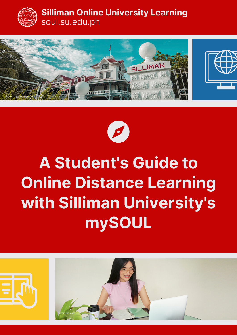

### **Silliman Online University Learning** soul.su.edu.ph





# **A Student's Guide to Online Distance Learning with Silliman University's mySOUL**

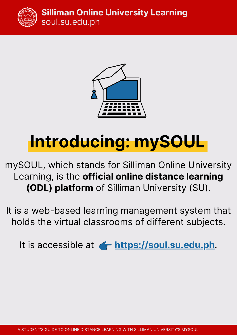

### **Silliman Online University Learning** soul.su.edu.ph



# **Introducing: mySOUL**

mySOUL, which stands for Silliman Online University Learning, is the **official online distance learning (ODL) platform** of Silliman University (SU).

It is a web-based learning management system that holds the virtual classrooms of different subjects.

It is accessible at **https://soul.su.edu.ph**.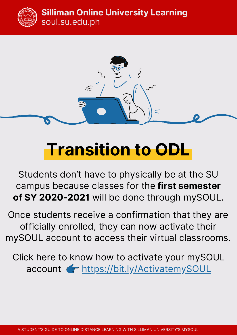



# **Transition to ODL**

Students don't have to physically be at the SU campus because classes for the **first semester of SY 2020-2021** will be done through mySOUL.

Once students receive a confirmation that they are officially enrolled, they can now activate their mySOUL account to access their virtual classrooms.

Click here to know how to activate your mySOUL account **+** https://bit.ly/ActivatemySOUL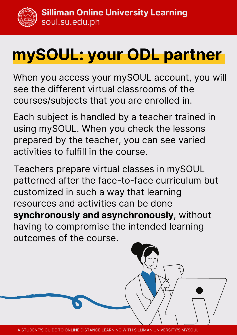

# **mySOUL: your ODL partner**

When you access your mySOUL account, you will see the different virtual classrooms of the courses/subjects that you are enrolled in.

Each subject is handled by a teacher trained in using mySOUL. When you check the lessons prepared by the teacher, you can see varied activities to fulfill in the course.

Teachers prepare virtual classes in mySOUL patterned after the face-to-face curriculum but customized in such a way that learning resources and activities can be done **synchronously and asynchronously**, without having to compromise the intended learning outcomes of the course.



A STUDENT'S GUIDE TO ONLINE DISTANCE LEARNING WITH SILLIMAN UNIVERSITY'S MYSOUL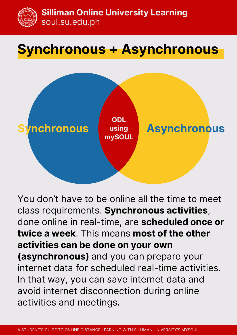

## **Synchronous + Asynchronous**



You don't have to be online all the time to meet class requirements. **Synchronous activities**, done online in real-time, are **scheduled once or twice a week**. This means **most of the other activities can be done on your own (asynchronous)** and you can prepare your internet data for scheduled real-time activities. In that way, you can save internet data and avoid internet disconnection during online activities and meetings.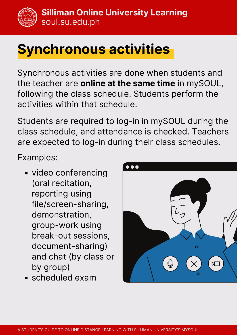## **Synchronous activities**

Synchronous activities are done when students and the teacher are **online at the same time** in mySOUL, following the class schedule. Students perform the activities within that schedule.

Students are required to log-in in mySOUL during the class schedule, and attendance is checked. Teachers are expected to log-in during their class schedules.

Examples:

- video conferencing (oral recitation, reporting using file/screen-sharing, demonstration, group-work using break-out sessions, document-sharing) and chat (by class or by group)
- scheduled exam

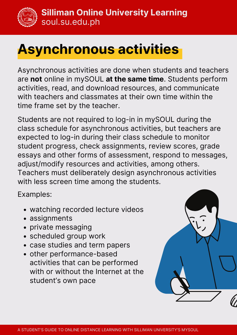

## **Asynchronous activities**

Asynchronous activities are done when students and teachers are **not** online in mySOUL **at the same time**. Students perform activities, read, and download resources, and communicate with teachers and classmates at their own time within the time frame set by the teacher.

Students are not required to log-in in mySOUL during the class schedule for asynchronous activities, but teachers are expected to log-in during their class schedule to monitor student progress, check assignments, review scores, grade essays and other forms of assessment, respond to messages, adjust/modify resources and activities, among others. Teachers must deliberately design asynchronous activities with less screen time among the students.

Examples:

- watching recorded lecture videos
- assignments
- private messaging
- scheduled group work
- case studies and term papers
- other performance-based activities that can be performed with or without the Internet at the student's own pace

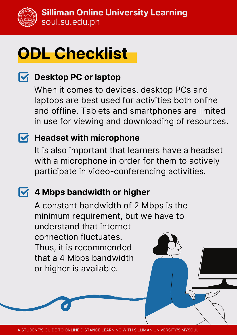

# **ODL Checklist**

### **Desktop PC or laptop**

When it comes to devices, desktop PCs and laptops are best used for activities both online and offline. Tablets and smartphones are limited in use for viewing and downloading of resources.

### **Headset with microphone**

It is also important that learners have a headset with a microphone in order for them to actively participate in video-conferencing activities.

### **4 Mbps bandwidth or higher**

A constant bandwidth of 2 Mbps is the minimum requirement, but we have to understand that internet connection fluctuates. Thus, it is recommended that a 4 Mbps bandwidth or higher is available.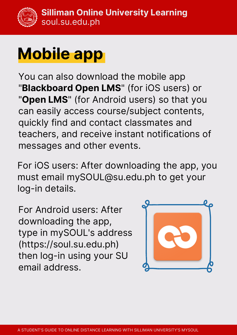# **Mobile app**

You can also download the mobile app "**Blackboard Open LMS**" (for iOS users) or "**Open LMS**" (for Android users) so that you can easily access course/subject contents, quickly find and contact classmates and teachers, and receive instant notifications of messages and other events.

For iOS users: After downloading the app, you must email mySOUL@su.edu.ph to get your log-in details.

For Android users: After downloading the app, type in mySOUL's address (https://soul.su.edu.ph) then log-in using your SU email address.

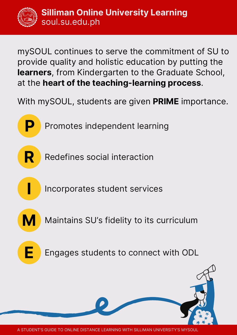mySOUL continues to serve the commitment of SU to provide quality and holistic education by putting the **learners**, from Kindergarten to the Graduate School, at the **heart of the teaching-learning process**.

With mySOUL, students are given **PRIME** importance.

Promotes independent learning

**R**

**P**

Redefines social interaction

Incorporates student services

**M**

**I**

Maintains SU's fidelity to its curriculum



Engages students to connect with ODL

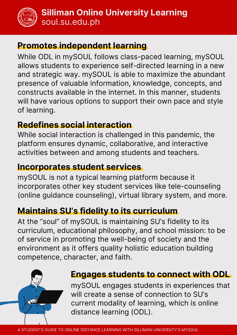

### **Promotes independent learning**

While ODL in mySOUL follows class-paced learning, mySOUL allows students to experience self-directed learning in a new and strategic way. mySOUL is able to maximize the abundant presence of valuable information, knowledge, concepts, and constructs available in the internet. In this manner, students will have various options to support their own pace and style of learning.

### **Redefines social interaction**

While social interaction is challenged in this pandemic, the platform ensures dynamic, collaborative, and interactive activities between and among students and teachers.

### **Incorporates student services**

mySOUL is not a typical learning platform because it incorporates other key student services like tele-counseling (online guidance counseling), virtual library system, and more.

### **Maintains SU's fidelity to its curriculum**

At the "soul" of mySOUL is maintaining SU's fidelity to its curriculum, educational philosophy, and school mission: to be of service in promoting the well-being of society and the environment as it offers quality holistic education building competence, character, and faith.



#### **Engages students to connect with ODL**

mySOUL engages students in experiences that will create a sense of connection to SU's current modality of learning, which is online distance learning (ODL).